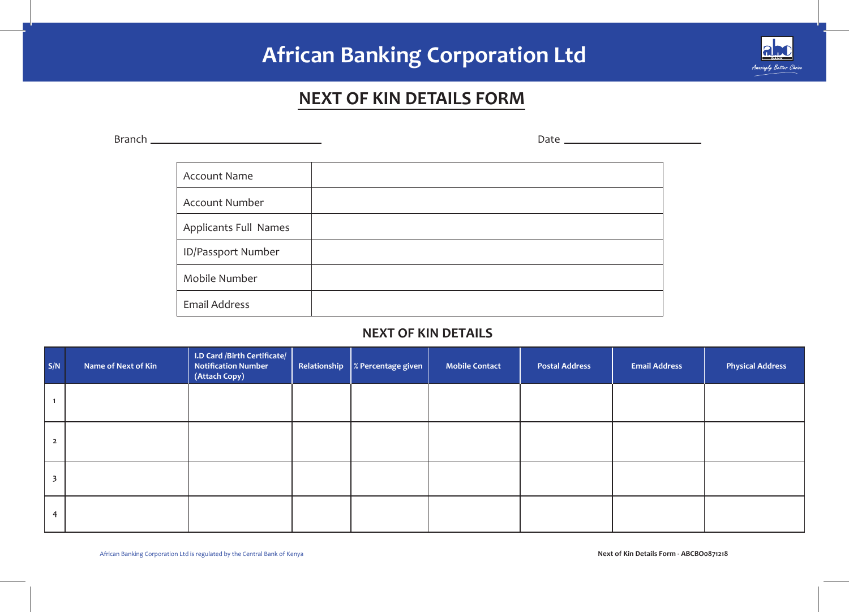# **African Banking Corporation Ltd**



# **NEXT OF KIN DETAILS FORM**

Branch Account Name Account Number Applicants Full Names ID/Passport Number Mobile Number Email Address Date

### **NEXT OF KIN DETAILS**

| S/N          | Name of Next of Kin | I.D Card /Birth Certificate/<br><b>Notification Number</b><br>(Attach Copy) | Relationship $\  \times$ Percentage given | <b>Mobile Contact</b> | <b>Postal Address</b> | <b>Email Address</b> | <b>Physical Address</b> |
|--------------|---------------------|-----------------------------------------------------------------------------|-------------------------------------------|-----------------------|-----------------------|----------------------|-------------------------|
|              |                     |                                                                             |                                           |                       |                       |                      |                         |
| $\mathbf{2}$ |                     |                                                                             |                                           |                       |                       |                      |                         |
|              |                     |                                                                             |                                           |                       |                       |                      |                         |
| 4            |                     |                                                                             |                                           |                       |                       |                      |                         |